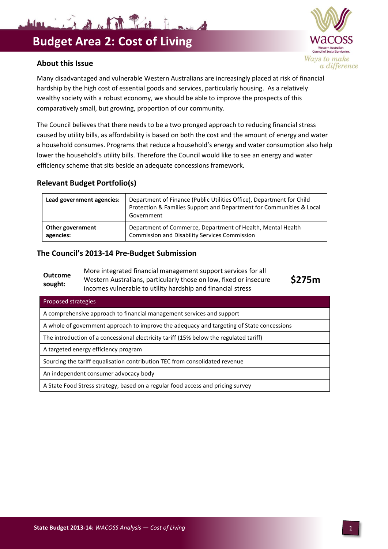



Many disadvantaged and vulnerable Western Australians are increasingly placed at risk of financial hardship by the high cost of essential goods and services, particularly housing. As a relatively wealthy society with a robust economy, we should be able to improve the prospects of this comparatively small, but growing, proportion of our community.

The Council believes that there needs to be a two pronged approach to reducing financial stress caused by utility bills, as affordability is based on both the cost and the amount of energy and water a household consumes. Programs that reduce a household's energy and water consumption also help lower the household's utility bills. Therefore the Council would like to see an energy and water efficiency scheme that sits beside an adequate concessions framework.

## **Relevant Budget Portfolio(s)**

| Lead government agencies: | Department of Finance (Public Utilities Office), Department for Child<br>Protection & Families Support and Department for Communities & Local<br>Government |
|---------------------------|-------------------------------------------------------------------------------------------------------------------------------------------------------------|
| Other government          | Department of Commerce, Department of Health, Mental Health                                                                                                 |
| agencies:                 | <b>Commission and Disability Services Commission</b>                                                                                                        |

## **The Council's 2013-14 Pre-Budget Submission**

| Outcome<br>sought:  | More integrated financial management support services for all<br>Western Australians, particularly those on low, fixed or insecure<br>incomes vulnerable to utility hardship and financial stress | \$275m |
|---------------------|---------------------------------------------------------------------------------------------------------------------------------------------------------------------------------------------------|--------|
| Proposed strategies |                                                                                                                                                                                                   |        |
|                     | A comprehensive approach to financial management services and support                                                                                                                             |        |

A whole of government approach to improve the adequacy and targeting of State concessions

The introduction of a concessional electricity tariff (15% below the regulated tariff)

A targeted energy efficiency program

Sourcing the tariff equalisation contribution TEC from consolidated revenue

An independent consumer advocacy body

A State Food Stress strategy, based on a regular food access and pricing survey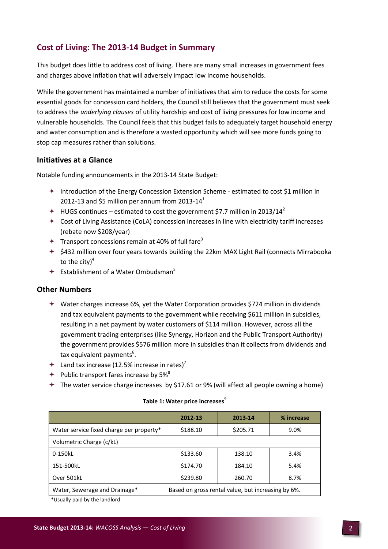# **Cost of Living: The 2013-14 Budget in Summary**

This budget does little to address cost of living. There are many small increases in government fees and charges above inflation that will adversely impact low income households.

While the government has maintained a number of initiatives that aim to reduce the costs for some essential goods for concession card holders, the Council still believes that the government must seek to address the *underlying clauses* of utility hardship and cost of living pressures for low income and vulnerable households. The Council feels that this budget fails to adequately target household energy and water consumption and is therefore a wasted opportunity which will see more funds going to stop cap measures rather than solutions.

## **Initiatives at a Glance**

Notable funding announcements in the 2013-14 State Budget:

- Introduction of the Energy Concession Extension Scheme estimated to cost \$1 million in 2012-13 and \$5 million per annum from 2013-14 $^1$
- $+$  HUGS continues estimated to cost the government \$7.7 million in 2013/14<sup>2</sup>
- Cost of Living Assistance (CoLA) concession increases in line with electricity tariff increases (rebate now \$208/year)
- $\div$  Transport concessions remain at 40% of full fare<sup>3</sup>
- $\div$  \$432 million over four years towards building the 22km MAX Light Rail (connects Mirrabooka to the city $)^4$
- $\div$  Establishment of a Water Ombudsman<sup>5</sup>

## **Other Numbers**

- Water charges increase 6%, yet the Water Corporation provides \$724 million in dividends and tax equivalent payments to the government while receiving \$611 million in subsidies, resulting in a net payment by water customers of \$114 million. However, across all the government trading enterprises (like Synergy, Horizon and the Public Transport Authority) the government provides \$576 million more in subsidies than it collects from dividends and tax equivalent payments<sup>6</sup>.
- $+$  Land tax increase (12.5% increase in rates)<sup>7</sup>
- $+$  Public transport fares increase by 5%<sup>8</sup>
- The water service charge increases by \$17.61 or 9% (will affect all people owning a home)

|                                          | 2012-13                                            | 2013-14  | % increase |  |
|------------------------------------------|----------------------------------------------------|----------|------------|--|
| Water service fixed charge per property* | \$188.10                                           | \$205.71 | 9.0%       |  |
| Volumetric Charge (c/kL)                 |                                                    |          |            |  |
| 0-150kL                                  | \$133.60                                           | 138.10   |            |  |
| 151-500kL                                | \$174.70                                           | 184.10   | 5.4%       |  |
| Over 501kL                               | \$239.80                                           | 260.70   | 8.7%       |  |
| Water, Sewerage and Drainage*            | Based on gross rental value, but increasing by 6%. |          |            |  |

#### **Table 1: Water price increases**<sup>9</sup>

\*Usually paid by the landlord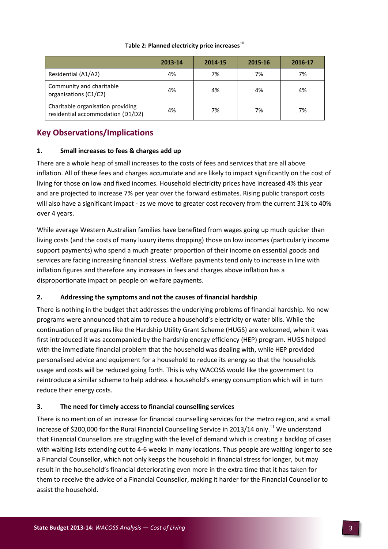#### Table 2: Planned electricity price increases<sup>10</sup>

|                                                                        | 2013-14 | 2014-15 | 2015-16 | 2016-17 |
|------------------------------------------------------------------------|---------|---------|---------|---------|
| Residential (A1/A2)                                                    | 4%      | 7%      | 7%      | 7%      |
| Community and charitable<br>organisations (C1/C2)                      | 4%      | 4%      | 4%      | 4%      |
| Charitable organisation providing<br>residential accommodation (D1/D2) | 4%      | 7%      | 7%      | 7%      |

## **Key Observations/Implications**

#### **1. Small increases to fees & charges add up**

There are a whole heap of small increases to the costs of fees and services that are all above inflation. All of these fees and charges accumulate and are likely to impact significantly on the cost of living for those on low and fixed incomes. Household electricity prices have increased 4% this year and are projected to increase 7% per year over the forward estimates. Rising public transport costs will also have a significant impact - as we move to greater cost recovery from the current 31% to 40% over 4 years.

While average Western Australian families have benefited from wages going up much quicker than living costs (and the costs of many luxury items dropping) those on low incomes (particularly income support payments) who spend a much greater proportion of their income on essential goods and services are facing increasing financial stress. Welfare payments tend only to increase in line with inflation figures and therefore any increases in fees and charges above inflation has a disproportionate impact on people on welfare payments.

### **2. Addressing the symptoms and not the causes of financial hardship**

There is nothing in the budget that addresses the underlying problems of financial hardship. No new programs were announced that aim to reduce a household's electricity or water bills. While the continuation of programs like the Hardship Utility Grant Scheme (HUGS) are welcomed, when it was first introduced it was accompanied by the hardship energy efficiency (HEP) program. HUGS helped with the immediate financial problem that the household was dealing with, while HEP provided personalised advice and equipment for a household to reduce its energy so that the households usage and costs will be reduced going forth. This is why WACOSS would like the government to reintroduce a similar scheme to help address a household's energy consumption which will in turn reduce their energy costs.

### **3. The need for timely access to financial counselling services**

There is no mention of an increase for financial counselling services for the metro region, and a small increase of \$200,000 for the Rural Financial Counselling Service in 2013/14 only.<sup>11</sup> We understand that Financial Counsellors are struggling with the level of demand which is creating a backlog of cases with waiting lists extending out to 4-6 weeks in many locations. Thus people are waiting longer to see a Financial Counsellor, which not only keeps the household in financial stress for longer, but may result in the household's financial deteriorating even more in the extra time that it has taken for them to receive the advice of a Financial Counsellor, making it harder for the Financial Counsellor to assist the household.